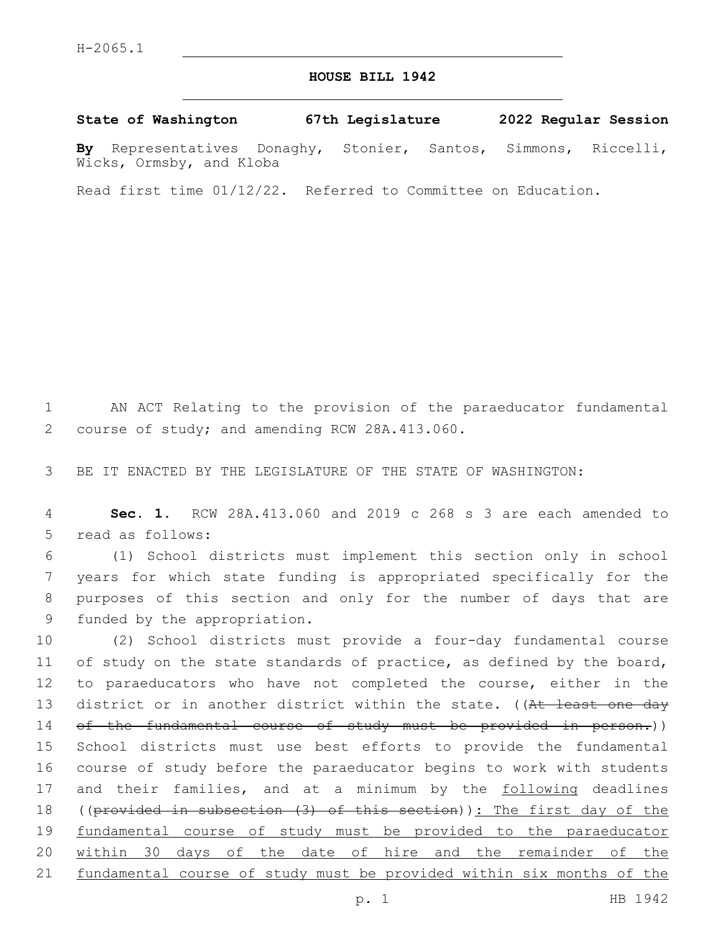## **HOUSE BILL 1942**

**State of Washington 67th Legislature 2022 Regular Session**

**By** Representatives Donaghy, Stonier, Santos, Simmons, Riccelli, Wicks, Ormsby, and Kloba

Read first time 01/12/22. Referred to Committee on Education.

1 AN ACT Relating to the provision of the paraeducator fundamental 2 course of study; and amending RCW 28A.413.060.

3 BE IT ENACTED BY THE LEGISLATURE OF THE STATE OF WASHINGTON:

4 **Sec. 1.** RCW 28A.413.060 and 2019 c 268 s 3 are each amended to 5 read as follows:

 (1) School districts must implement this section only in school years for which state funding is appropriated specifically for the purposes of this section and only for the number of days that are 9 funded by the appropriation.

10 (2) School districts must provide a four-day fundamental course 11 of study on the state standards of practice, as defined by the board, 12 to paraeducators who have not completed the course, either in the 13 district or in another district within the state. ((At least one day 14 of the fundamental course of study must be provided in person.)) 15 School districts must use best efforts to provide the fundamental 16 course of study before the paraeducator begins to work with students 17 and their families, and at a minimum by the following deadlines 18 ((provided in subsection (3) of this section)): The first day of the 19 fundamental course of study must be provided to the paraeducator 20 within 30 days of the date of hire and the remainder of the 21 fundamental course of study must be provided within six months of the